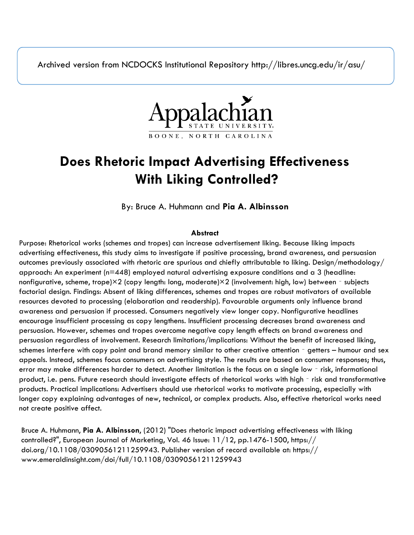Archived version from NCDOCKS Institutional Repository http://libres.uncg.edu/ir/asu/



# **Does Rhetoric Impact Advertising Effectiveness With Liking Controlled?**

By: Bruce A. Huhmann and **Pia A. Albinsson**

## **Abstract**

Purpose: Rhetorical works (schemes and tropes) can increase advertisement liking. Because liking impacts advertising effectiveness, this study aims to investigate if positive processing, brand awareness, and persuasion outcomes previously associated with rhetoric are spurious and chiefly attributable to liking. Design/methodology/ approach: An experiment (n=448) employed natural advertising exposure conditions and a 3 (headline: nonfigurative, scheme, trope)×2 (copy length: long, moderate)×2 (involvement: high, low) between - subjects factorial design. Findings: Absent of liking differences, schemes and tropes are robust motivators of available resources devoted to processing (elaboration and readership). Favourable arguments only influence brand awareness and persuasion if processed. Consumers negatively view longer copy. Nonfigurative headlines encourage insufficient processing as copy lengthens. Insufficient processing decreases brand awareness and persuasion. However, schemes and tropes overcome negative copy length effects on brand awareness and persuasion regardless of involvement. Research limitations/implications: Without the benefit of increased liking, schemes interfere with copy point and brand memory similar to other creative attention – getters – humour and sex appeals. Instead, schemes focus consumers on advertising style. The results are based on consumer responses; thus, error may make differences harder to detect. Another limitation is the focus on a single low - risk, informational product, i.e. pens. Future research should investigate effects of rhetorical works with high - risk and transformative products. Practical implications: Advertisers should use rhetorical works to motivate processing, especially with longer copy explaining advantages of new, technical, or complex products. Also, effective rhetorical works need not create positive affect.

Bruce A. Huhmann, **Pia A. Albinsson**, (2012) "Does rhetoric impact advertising effectiveness with liking controlled?", European Journal of Marketing, Vol. 46 Issue: 11/12, pp.1476-1500, https:// doi.org/10.1108/03090561211259943. Publisher version of record available at: https:// www.emeraldinsight.com/doi/full/10.1108/03090561211259943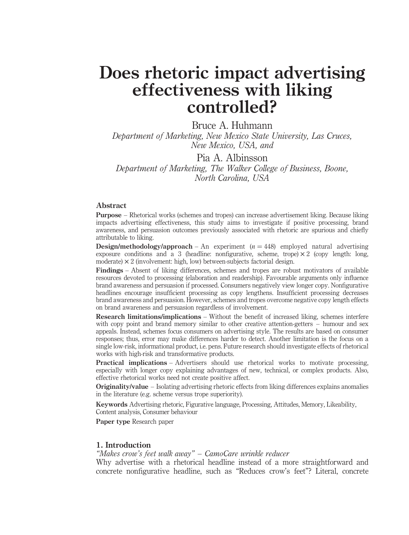## Does rhetoric impact advertising effectiveness with liking controlled?

Bruce A. Huhmann

Department of Marketing, New Mexico State University, Las Cruces, New Mexico, USA, and

Pia A. Albinsson Department of Marketing, The Walker College of Business, Boone, North Carolina, USA

#### Abstract

Purpose – Rhetorical works (schemes and tropes) can increase advertisement liking. Because liking impacts advertising effectiveness, this study aims to investigate if positive processing, brand awareness, and persuasion outcomes previously associated with rhetoric are spurious and chiefly attributable to liking.

**Design/methodology/approach** – An experiment  $(n = 448)$  employed natural advertising exposure conditions and a 3 (headline: nonfigurative, scheme, trope)  $\times$  2 (copy length: long, moderate)  $\times$  2 (involvement: high, low) between-subjects factorial design.

Findings – Absent of liking differences, schemes and tropes are robust motivators of available resources devoted to processing (elaboration and readership). Favourable arguments only influence brand awareness and persuasion if processed. Consumers negatively view longer copy. Nonfigurative headlines encourage insufficient processing as copy lengthens. Insufficient processing decreases brand awareness and persuasion. However, schemes and tropes overcome negative copy length effects on brand awareness and persuasion regardless of involvement.

Research limitations/implications – Without the benefit of increased liking, schemes interfere with copy point and brand memory similar to other creative attention-getters – humour and sex appeals. Instead, schemes focus consumers on advertising style. The results are based on consumer responses; thus, error may make differences harder to detect. Another limitation is the focus on a single low-risk, informational product, i.e. pens. Future research should investigate effects of rhetorical works with high-risk and transformative products.

Practical implications – Advertisers should use rhetorical works to motivate processing, especially with longer copy explaining advantages of new, technical, or complex products. Also, effective rhetorical works need not create positive affect.

Originality/value – Isolating advertising rhetoric effects from liking differences explains anomalies in the literature (e.g. scheme versus trope superiority).

Keywords Advertising rhetoric, Figurative language, Processing, Attitudes, Memory, Likeability, Content analysis, Consumer behaviour

Paper type Research paper

#### 1. Introduction

#### "Makes crow's feet walk away" – CamoCare wrinkle reducer

Why advertise with a rhetorical headline instead of a more straightforward and concrete nonfigurative headline, such as "Reduces crow's feet"? Literal, concrete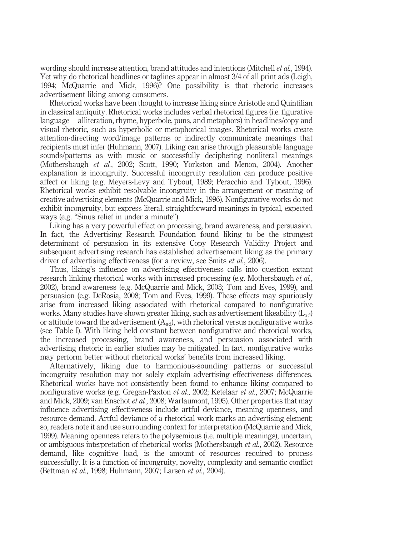wording should increase attention, brand attitudes and intentions (Mitchell et al., 1994). Yet why do rhetorical headlines or taglines appear in almost 3/4 of all print ads (Leigh, 1994; McQuarrie and Mick, 1996)? One possibility is that rhetoric increases advertisement liking among consumers.

Rhetorical works have been thought to increase liking since Aristotle and Quintilian in classical antiquity. Rhetorical works includes verbal rhetorical figures (i.e. figurative language – alliteration, rhyme, hyperbole, puns, and metaphors) in headlines/copy and visual rhetoric, such as hyperbolic or metaphorical images. Rhetorical works create attention-directing word/image patterns or indirectly communicate meanings that recipients must infer (Huhmann, 2007). Liking can arise through pleasurable language sounds/patterns as with music or successfully deciphering nonliteral meanings (Mothersbaugh et al., 2002; Scott, 1990; Yorkston and Menon, 2004). Another explanation is incongruity. Successful incongruity resolution can produce positive affect or liking (e.g. Meyers-Levy and Tybout, 1989; Peracchio and Tybout, 1996). Rhetorical works exhibit resolvable incongruity in the arrangement or meaning of creative advertising elements (McQuarrie and Mick, 1996). Nonfigurative works do not exhibit incongruity, but express literal, straightforward meanings in typical, expected ways (e.g. "Sinus relief in under a minute").

Liking has a very powerful effect on processing, brand awareness, and persuasion. In fact, the Advertising Research Foundation found liking to be the strongest determinant of persuasion in its extensive Copy Research Validity Project and subsequent advertising research has established advertisement liking as the primary driver of advertising effectiveness (for a review, see Smits et al., 2006).

Thus, liking's influence on advertising effectiveness calls into question extant research linking rhetorical works with increased processing (e.g. Mothersbaugh *et al.*, 2002), brand awareness (e.g. McQuarrie and Mick, 2003; Tom and Eves, 1999), and persuasion (e.g. DeRosia, 2008; Tom and Eves, 1999). These effects may spuriously arise from increased liking associated with rhetorical compared to nonfigurative works. Many studies have shown greater liking, such as advertisement likeability  $(L_{ad})$ or attitude toward the advertisement  $(A_{ad})$ , with rhetorical versus nonfigurative works (see Table I). With liking held constant between nonfigurative and rhetorical works, the increased processing, brand awareness, and persuasion associated with advertising rhetoric in earlier studies may be mitigated. In fact, nonfigurative works may perform better without rhetorical works' benefits from increased liking.

Alternatively, liking due to harmonious-sounding patterns or successful incongruity resolution may not solely explain advertising effectiveness differences. Rhetorical works have not consistently been found to enhance liking compared to nonfigurative works (e.g. Gregan-Paxton et al., 2002; Ketelaar et al., 2007; McQuarrie and Mick, 2009; van Enschot et al., 2008; Warlaumont, 1995). Other properties that may influence advertising effectiveness include artful deviance, meaning openness, and resource demand. Artful deviance of a rhetorical work marks an advertising element; so, readers note it and use surrounding context for interpretation (McQuarrie and Mick, 1999). Meaning openness refers to the polysemious (i.e. multiple meanings), uncertain, or ambiguous interpretation of rhetorical works (Mothersbaugh et al., 2002). Resource demand, like cognitive load, is the amount of resources required to process successfully. It is a function of incongruity, novelty, complexity and semantic conflict (Bettman et al., 1998; Huhmann, 2007; Larsen et al., 2004).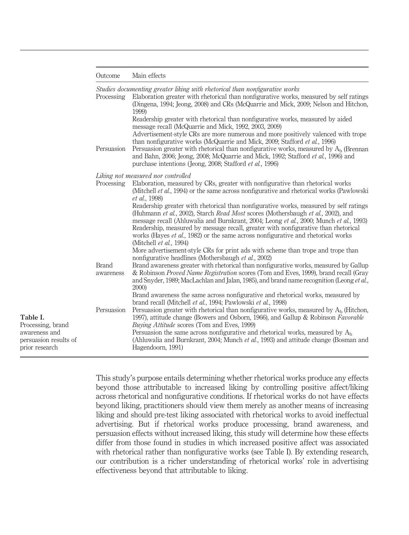|  | Outcome |  | Main effects |
|--|---------|--|--------------|
|--|---------|--|--------------|

Studies documenting greater liking with rhetorical than nonfigurative works Processing Elaboration greater with rhetorical than nonfigurative works, measured by self ratings<br>(Diagram 1004; Jeang 2009) and CBs (McQuamie and Misk 2000; Nelson and Utaban

|                                                          | Persuasion                | (Dingena, 1994; Jeong, 2008) and CRs (McQuarrie and Mick, 2009; Nelson and Hitchon,<br>1999)<br>Readership greater with rhetorical than nonfigurative works, measured by aided<br>message recall (McQuarrie and Mick, 1992, 2003, 2009)<br>Advertisement-style CRs are more numerous and more positively valenced with trope<br>than nonfigurative works (McQuarrie and Mick, 2009; Stafford et al., 1996)<br>Persuasion greater with rhetorical than nonfigurative works, measured by $A_h$ (Brennan<br>and Bahn, 2006; Jeong, 2008; McQuarrie and Mick, 1992; Stafford et al., 1996) and<br>purchase intentions (Jeong, 2008; Stafford <i>et al.</i> , 1996) |
|----------------------------------------------------------|---------------------------|----------------------------------------------------------------------------------------------------------------------------------------------------------------------------------------------------------------------------------------------------------------------------------------------------------------------------------------------------------------------------------------------------------------------------------------------------------------------------------------------------------------------------------------------------------------------------------------------------------------------------------------------------------------|
|                                                          |                           | Liking not measured nor controlled                                                                                                                                                                                                                                                                                                                                                                                                                                                                                                                                                                                                                             |
|                                                          | Processing                | Elaboration, measured by CRs, greater with nonfigurative than rhetorical works<br>(Mitchell <i>et al.</i> , 1994) or the same across nonfigurative and rhetorical works (Pawlowski<br>et al., 1998)                                                                                                                                                                                                                                                                                                                                                                                                                                                            |
|                                                          |                           | Readership greater with rhetorical than nonfigurative works, measured by self ratings<br>(Huhmann et al., 2002), Starch Read Most scores (Mothersbaugh et al., 2002), and<br>message recall (Ahluwalia and Burnkrant, 2004; Leong et al., 2000; Munch et al., 1993)<br>Readership, measured by message recall, greater with nonfigurative than rhetorical<br>works (Hayes <i>et al.</i> , 1982) or the same across nonfigurative and rhetorical works<br>(Mitchell <i>et al.</i> , 1994)<br>More advertisement-style CRs for print ads with scheme than trope and trope than                                                                                   |
|                                                          |                           | nonfigurative headlines (Mothersbaugh et al., 2002)                                                                                                                                                                                                                                                                                                                                                                                                                                                                                                                                                                                                            |
|                                                          | <b>Brand</b><br>awareness | Brand awareness greater with rhetorical than nonfigurative works, measured by Gallup<br>& Robinson <i>Proved Name Registration</i> scores (Tom and Eves, 1999), brand recall (Gray<br>and Snyder, 1989; MacLachlan and Jalan, 1985), and brand name recognition (Leong et al.,<br><b>2000</b> )                                                                                                                                                                                                                                                                                                                                                                |
|                                                          |                           | Brand awareness the same across nonfigurative and rhetorical works, measured by<br>brand recall (Mitchell et al., 1994; Pawlowski et al., 1998)                                                                                                                                                                                                                                                                                                                                                                                                                                                                                                                |
| Table I.<br>Processing, brand                            | Persuasion                | Persuasion greater with rhetorical than nonfigurative works, measured by $A_h$ (Hitchon,<br>1997), attitude change (Bowers and Osborn, 1966), and Gallup & Robinson Favorable<br><i>Buying Attitude</i> scores (Tom and Eves, 1999)                                                                                                                                                                                                                                                                                                                                                                                                                            |
| awareness and<br>persuasion results of<br>prior research |                           | Persuasion the same across nonfigurative and rhetorical works, measured by $Ab$<br>(Ahluwalia and Burnkrant, 2004; Munch <i>et al.</i> , 1993) and attitude change (Bosman and<br>Hagendoorn, 1991)                                                                                                                                                                                                                                                                                                                                                                                                                                                            |

This study's purpose entails determining whether rhetorical works produce any effects beyond those attributable to increased liking by controlling positive affect/liking across rhetorical and nonfigurative conditions. If rhetorical works do not have effects beyond liking, practitioners should view them merely as another means of increasing liking and should pre-test liking associated with rhetorical works to avoid ineffectual advertising. But if rhetorical works produce processing, brand awareness, and persuasion effects without increased liking, this study will determine how these effects differ from those found in studies in which increased positive affect was associated with rhetorical rather than nonfigurative works (see Table I). By extending research, our contribution is a richer understanding of rhetorical works' role in advertising effectiveness beyond that attributable to liking.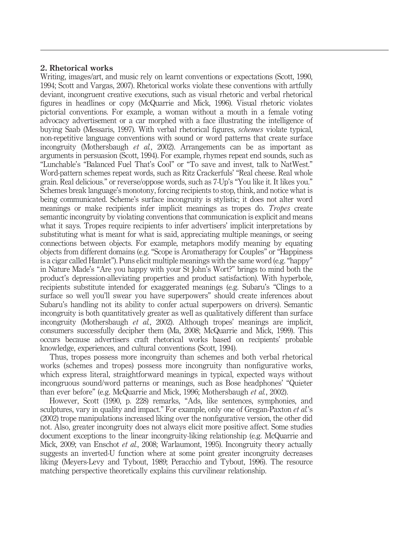### 2. Rhetorical works

Writing, images/art, and music rely on learnt conventions or expectations (Scott, 1990, 1994; Scott and Vargas, 2007). Rhetorical works violate these conventions with artfully deviant, incongruent creative executions, such as visual rhetoric and verbal rhetorical figures in headlines or copy (McQuarrie and Mick, 1996). Visual rhetoric violates pictorial conventions. For example, a woman without a mouth in a female voting advocacy advertisement or a car morphed with a face illustrating the intelligence of buying Saab (Messaris, 1997). With verbal rhetorical figures, schemes violate typical, non-repetitive language conventions with sound or word patterns that create surface incongruity (Mothersbaugh et al., 2002). Arrangements can be as important as arguments in persuasion (Scott, 1994). For example, rhymes repeat end sounds, such as "Lunchable's "Balanced Fuel That's Cool" or "To save and invest, talk to NatWest." Word-pattern schemes repeat words, such as Ritz Crackerfuls' "Real cheese. Real whole grain. Real delicious." or reverse/oppose words, such as 7-Up's "You like it. It likes you." Schemes break language's monotony, forcing recipients to stop, think, and notice what is being communicated. Scheme's surface incongruity is stylistic; it does not alter word meanings or make recipients infer implicit meanings as tropes do. Tropes create semantic incongruity by violating conventions that communication is explicit and means what it says. Tropes require recipients to infer advertisers' implicit interpretations by substituting what is meant for what is said, appreciating multiple meanings, or seeing connections between objects. For example, metaphors modify meaning by equating objects from different domains (e.g. "Scope is Aromatherapy for Couples" or "Happiness is a cigar called Hamlet"). Puns elicit multiple meanings with the same word (e.g. "happy" in Nature Made's "Are you happy with your St John's Wort?" brings to mind both the product's depression-alleviating properties and product satisfaction). With hyperbole, recipients substitute intended for exaggerated meanings (e.g. Subaru's "Clings to a surface so well you'll swear you have superpowers" should create inferences about Subaru's handling not its ability to confer actual superpowers on drivers). Semantic incongruity is both quantitatively greater as well as qualitatively different than surface incongruity (Mothersbaugh et al., 2002). Although tropes' meanings are implicit, consumers successfully decipher them (Ma, 2008; McQuarrie and Mick, 1999). This occurs because advertisers craft rhetorical works based on recipients' probable knowledge, experiences, and cultural conventions (Scott, 1994).

Thus, tropes possess more incongruity than schemes and both verbal rhetorical works (schemes and tropes) possess more incongruity than nonfigurative works, which express literal, straightforward meanings in typical, expected ways without incongruous sound/word patterns or meanings, such as Bose headphones' "Quieter than ever before" (e.g. McQuarrie and Mick, 1996; Mothersbaugh et al., 2002).

However, Scott (1990, p. 228) remarks, "Ads, like sentences, symphonies, and sculptures, vary in quality and impact." For example, only one of Gregan-Paxton *et al.*'s (2002) trope manipulations increased liking over the nonfigurative version, the other did not. Also, greater incongruity does not always elicit more positive affect. Some studies document exceptions to the linear incongruity-liking relationship (e.g. McQuarrie and Mick, 2009; van Enschot et al., 2008; Warlaumont, 1995). Incongruity theory actually suggests an inverted-U function where at some point greater incongruity decreases liking (Meyers-Levy and Tybout, 1989; Peracchio and Tybout, 1996). The resource matching perspective theoretically explains this curvilinear relationship.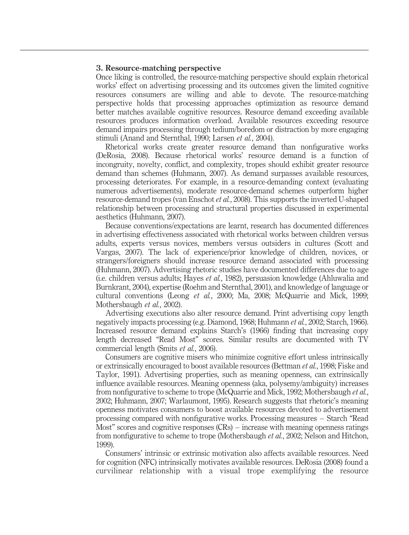#### 3. Resource-matching perspective

Once liking is controlled, the resource-matching perspective should explain rhetorical works' effect on advertising processing and its outcomes given the limited cognitive resources consumers are willing and able to devote. The resource-matching perspective holds that processing approaches optimization as resource demand better matches available cognitive resources. Resource demand exceeding available resources produces information overload. Available resources exceeding resource demand impairs processing through tedium/boredom or distraction by more engaging stimuli (Anand and Sternthal, 1990; Larsen et al., 2004).

Rhetorical works create greater resource demand than nonfigurative works (DeRosia, 2008). Because rhetorical works' resource demand is a function of incongruity, novelty, conflict, and complexity, tropes should exhibit greater resource demand than schemes (Huhmann, 2007). As demand surpasses available resources, processing deteriorates. For example, in a resource-demanding context (evaluating numerous advertisements), moderate resource-demand schemes outperform higher resource-demand tropes (van Enschot et al., 2008). This supports the inverted U-shaped relationship between processing and structural properties discussed in experimental aesthetics (Huhmann, 2007).

Because conventions/expectations are learnt, research has documented differences in advertising effectiveness associated with rhetorical works between children versus adults, experts versus novices, members versus outsiders in cultures (Scott and Vargas, 2007). The lack of experience/prior knowledge of children, novices, or strangers/foreigners should increase resource demand associated with processing (Huhmann, 2007). Advertising rhetoric studies have documented differences due to age (i.e. children versus adults; Hayes et al., 1982), persuasion knowledge (Ahluwalia and Burnkrant, 2004), expertise (Roehm and Sternthal, 2001), and knowledge of language or cultural conventions (Leong et al., 2000; Ma, 2008; McQuarrie and Mick, 1999; Mothersbaugh et al., 2002).

Advertising executions also alter resource demand. Print advertising copy length negatively impacts processing (e.g. Diamond, 1968; Huhmann et al., 2002; Starch, 1966). Increased resource demand explains Starch's (1966) finding that increasing copy length decreased "Read Most" scores. Similar results are documented with TV commercial length (Smits et al., 2006).

Consumers are cognitive misers who minimize cognitive effort unless intrinsically or extrinsically encouraged to boost available resources (Bettman et al., 1998; Fiske and Taylor, 1991). Advertising properties, such as meaning openness, can extrinsically influence available resources. Meaning openness (aka, polysemy/ambiguity) increases from nonfigurative to scheme to trope (McQuarrie and Mick, 1992; Mothersbaugh et al., 2002; Huhmann, 2007; Warlaumont, 1995). Research suggests that rhetoric's meaning openness motivates consumers to boost available resources devoted to advertisement processing compared with nonfigurative works. Processing measures – Starch "Read Most" scores and cognitive responses (CRs) – increase with meaning openness ratings from nonfigurative to scheme to trope (Mothersbaugh et al., 2002; Nelson and Hitchon, 1999).

Consumers' intrinsic or extrinsic motivation also affects available resources. Need for cognition (NFC) intrinsically motivates available resources. DeRosia (2008) found a curvilinear relationship with a visual trope exemplifying the resource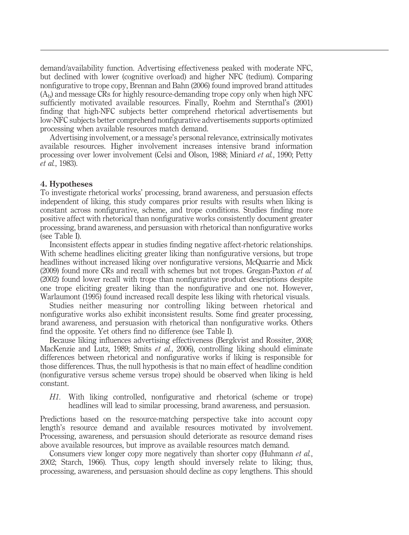demand/availability function. Advertising effectiveness peaked with moderate NFC, but declined with lower (cognitive overload) and higher NFC (tedium). Comparing nonfigurative to trope copy, Brennan and Bahn (2006) found improved brand attitudes  $(A<sub>b</sub>)$  and message CRs for highly resource-demanding trope copy only when high NFC sufficiently motivated available resources. Finally, Roehm and Sternthal's (2001) finding that high-NFC subjects better comprehend rhetorical advertisements but low-NFC subjects better comprehend nonfigurative advertisements supports optimized processing when available resources match demand.

Advertising involvement, or a message's personal relevance, extrinsically motivates available resources. Higher involvement increases intensive brand information processing over lower involvement (Celsi and Olson, 1988; Miniard et al., 1990; Petty et al., 1983).

#### 4. Hypotheses

To investigate rhetorical works' processing, brand awareness, and persuasion effects independent of liking, this study compares prior results with results when liking is constant across nonfigurative, scheme, and trope conditions. Studies finding more positive affect with rhetorical than nonfigurative works consistently document greater processing, brand awareness, and persuasion with rhetorical than nonfigurative works (see Table I).

Inconsistent effects appear in studies finding negative affect-rhetoric relationships. With scheme headlines eliciting greater liking than nonfigurative versions, but trope headlines without increased liking over nonfigurative versions, McQuarrie and Mick (2009) found more CRs and recall with schemes but not tropes. Gregan-Paxton et al. (2002) found lower recall with trope than nonfigurative product descriptions despite one trope eliciting greater liking than the nonfigurative and one not. However, Warlaumont (1995) found increased recall despite less liking with rhetorical visuals.

Studies neither measuring nor controlling liking between rhetorical and nonfigurative works also exhibit inconsistent results. Some find greater processing, brand awareness, and persuasion with rhetorical than nonfigurative works. Others find the opposite. Yet others find no difference (see Table I).

Because liking influences advertising effectiveness (Bergkvist and Rossiter, 2008; MacKenzie and Lutz, 1989; Smits et al., 2006), controlling liking should eliminate differences between rhetorical and nonfigurative works if liking is responsible for those differences. Thus, the null hypothesis is that no main effect of headline condition (nonfigurative versus scheme versus trope) should be observed when liking is held constant.

H1. With liking controlled, nonfigurative and rhetorical (scheme or trope) headlines will lead to similar processing, brand awareness, and persuasion.

Predictions based on the resource-matching perspective take into account copy length's resource demand and available resources motivated by involvement. Processing, awareness, and persuasion should deteriorate as resource demand rises above available resources, but improve as available resources match demand.

Consumers view longer copy more negatively than shorter copy (Huhmann *et al.*, 2002; Starch, 1966). Thus, copy length should inversely relate to liking; thus, processing, awareness, and persuasion should decline as copy lengthens. This should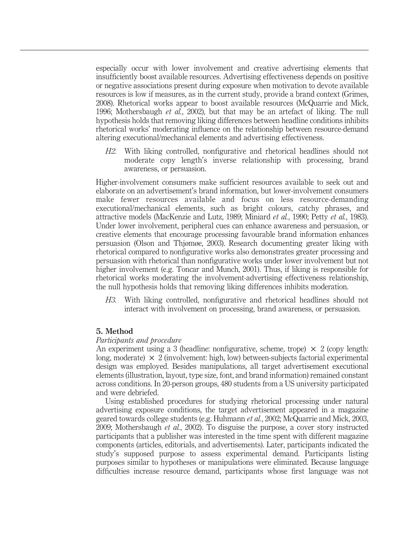especially occur with lower involvement and creative advertising elements that insufficiently boost available resources. Advertising effectiveness depends on positive or negative associations present during exposure when motivation to devote available resources is low if measures, as in the current study, provide a brand context (Grimes, 2008). Rhetorical works appear to boost available resources (McQuarrie and Mick, 1996; Mothersbaugh et al., 2002), but that may be an artefact of liking. The null hypothesis holds that removing liking differences between headline conditions inhibits rhetorical works' moderating influence on the relationship between resource-demand altering executional/mechanical elements and advertising effectiveness.

H2. With liking controlled, nonfigurative and rhetorical headlines should not moderate copy length's inverse relationship with processing, brand awareness, or persuasion.

Higher-involvement consumers make sufficient resources available to seek out and elaborate on an advertisement's brand information, but lower-involvement consumers make fewer resources available and focus on less resource-demanding executional/mechanical elements, such as bright colours, catchy phrases, and attractive models (MacKenzie and Lutz, 1989; Miniard et al., 1990; Petty et al., 1983). Under lower involvement, peripheral cues can enhance awareness and persuasion, or creative elements that encourage processing favourable brand information enhances persuasion (Olson and Thjømøe, 2003). Research documenting greater liking with rhetorical compared to nonfigurative works also demonstrates greater processing and persuasion with rhetorical than nonfigurative works under lower involvement but not higher involvement (e.g. Toncar and Munch, 2001). Thus, if liking is responsible for rhetorical works moderating the involvement-advertising effectiveness relationship, the null hypothesis holds that removing liking differences inhibits moderation.

H3. With liking controlled, nonfigurative and rhetorical headlines should not interact with involvement on processing, brand awareness, or persuasion.

#### 5. Method

#### Participants and procedure

An experiment using a 3 (headline: nonfigurative, scheme, trope)  $\times$  2 (copy length: long, moderate)  $\times$  2 (involvement: high, low) between-subjects factorial experimental design was employed. Besides manipulations, all target advertisement executional elements (illustration, layout, type size, font, and brand information) remained constant across conditions. In 20-person groups, 480 students from a US university participated and were debriefed.

Using established procedures for studying rhetorical processing under natural advertising exposure conditions, the target advertisement appeared in a magazine geared towards college students (e.g. Huhmann et al., 2002; McQuarrie and Mick, 2003, 2009; Mothersbaugh et al., 2002). To disguise the purpose, a cover story instructed participants that a publisher was interested in the time spent with different magazine components (articles, editorials, and advertisements). Later, participants indicated the study's supposed purpose to assess experimental demand. Participants listing purposes similar to hypotheses or manipulations were eliminated. Because language difficulties increase resource demand, participants whose first language was not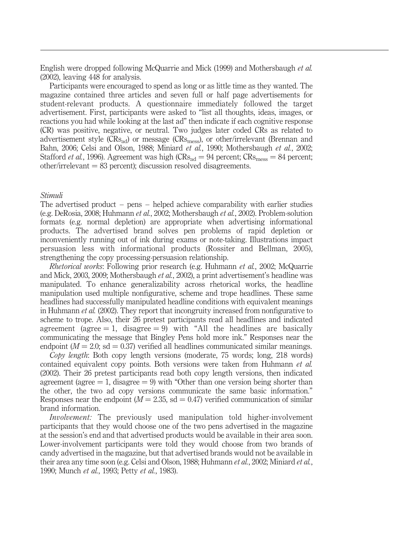English were dropped following McQuarrie and Mick (1999) and Mothersbaugh et al. (2002), leaving 448 for analysis.

Participants were encouraged to spend as long or as little time as they wanted. The magazine contained three articles and seven full or half page advertisements for student-relevant products. A questionnaire immediately followed the target advertisement. First, participants were asked to "list all thoughts, ideas, images, or reactions you had while looking at the last ad" then indicate if each cognitive response (CR) was positive, negative, or neutral. Two judges later coded CRs as related to advertisement style  $(CRs_{ad})$  or message  $(CRs_{mess})$ , or other/irrelevant (Brennan and Bahn, 2006; Celsi and Olson, 1988; Miniard et al., 1990; Mothersbaugh et al., 2002; Stafford *et al.*, 1996). Agreement was high (CRs<sub>ad</sub> = 94 percent; CRs<sub>mess</sub> = 84 percent;  $other/irrelevant = 83 percent; discussion resolved disagreement.$ 

#### Stimuli

The advertised product – pens – helped achieve comparability with earlier studies (e.g. DeRosia, 2008; Huhmann et al., 2002; Mothersbaugh et al., 2002). Problem-solution formats (e.g. normal depletion) are appropriate when advertising informational products. The advertised brand solves pen problems of rapid depletion or inconveniently running out of ink during exams or note-taking. Illustrations impact persuasion less with informational products (Rossiter and Bellman, 2005), strengthening the copy processing-persuasion relationship.

Rhetorical works: Following prior research (e.g. Huhmann et al., 2002; McQuarrie and Mick, 2003, 2009; Mothersbaugh et al., 2002), a print advertisement's headline was manipulated. To enhance generalizability across rhetorical works, the headline manipulation used multiple nonfigurative, scheme and trope headlines. These same headlines had successfully manipulated headline conditions with equivalent meanings in Huhmann et al. (2002). They report that incongruity increased from nonfigurative to scheme to trope. Also, their 26 pretest participants read all headlines and indicated agreement (agree  $= 1$ , disagree  $= 9$ ) with "All the headlines are basically communicating the message that Bingley Pens hold more ink." Responses near the endpoint ( $M = 2.0$ ; sd = 0.37) verified all headlines communicated similar meanings.

Copy length: Both copy length versions (moderate, 75 words; long, 218 words) contained equivalent copy points. Both versions were taken from Huhmann et al. (2002). Their 26 pretest participants read both copy length versions, then indicated agreement (agree  $= 1$ , disagree  $= 9$ ) with "Other than one version being shorter than the other, the two ad copy versions communicate the same basic information." Responses near the endpoint ( $M = 2.35$ , sd = 0.47) verified communication of similar brand information.

Involvement: The previously used manipulation told higher-involvement participants that they would choose one of the two pens advertised in the magazine at the session's end and that advertised products would be available in their area soon. Lower-involvement participants were told they would choose from two brands of candy advertised in the magazine, but that advertised brands would not be available in their area any time soon (e.g. Celsi and Olson, 1988; Huhmann *et al.*, 2002; Miniard *et al.*, 1990: Munch et al., 1993: Petty et al., 1983).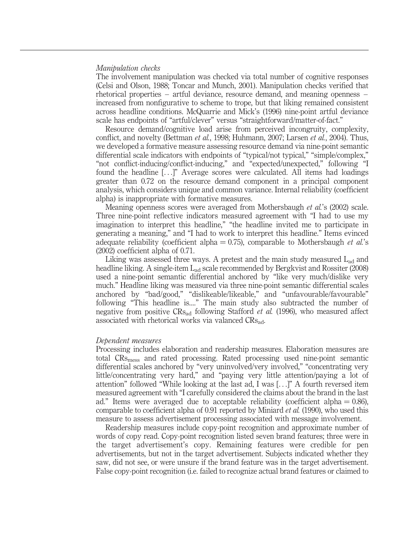#### Manipulation checks

The involvement manipulation was checked via total number of cognitive responses (Celsi and Olson, 1988; Toncar and Munch, 2001). Manipulation checks verified that rhetorical properties – artful deviance, resource demand, and meaning openness – increased from nonfigurative to scheme to trope, but that liking remained consistent across headline conditions. McQuarrie and Mick's (1996) nine-point artful deviance scale has endpoints of "artful/clever" versus "straightforward/matter-of-fact."

Resource demand/cognitive load arise from perceived incongruity, complexity, conflict, and novelty (Bettman *et al.*, 1998; Huhmann, 2007; Larsen *et al.*, 2004). Thus, we developed a formative measure assessing resource demand via nine-point semantic differential scale indicators with endpoints of "typical/not typical," "simple/complex," "not conflict-inducing/conflict-inducing," and "expected/unexpected," following "I found the headline [...]" Average scores were calculated. All items had loadings greater than 0.72 on the resource demand component in a principal component analysis, which considers unique and common variance. Internal reliability (coefficient alpha) is inappropriate with formative measures.

Meaning openness scores were averaged from Mothersbaugh et al.'s (2002) scale. Three nine-point reflective indicators measured agreement with "I had to use my imagination to interpret this headline," "the headline invited me to participate in generating a meaning," and "I had to work to interpret this headline." Items evinced adequate reliability (coefficient alpha  $= 0.75$ ), comparable to Mothersbaugh *et al.*'s (2002) coefficient alpha of 0.71.

Liking was assessed three ways. A pretest and the main study measured  $L_{ad}$  and headline liking. A single-item L<sub>ad</sub> scale recommended by Bergkvist and Rossiter (2008) used a nine-point semantic differential anchored by "like very much/dislike very much." Headline liking was measured via three nine-point semantic differential scales anchored by "bad/good," "dislikeable/likeable," and "unfavourable/favourable" following "This headline is...." The main study also subtracted the number of negative from positive  $CRs_{ad}$  following Stafford *et al.* (1996), who measured affect associated with rhetorical works via valanced CRs<sub>ad</sub>.

#### Dependent measures

Processing includes elaboration and readership measures. Elaboration measures are total CRsmess and rated processing. Rated processing used nine-point semantic differential scales anchored by "very uninvolved/very involved," "concentrating very little/concentrating very hard," and "paying very little attention/paying a lot of attention" followed "While looking at the last ad, I was [...]" A fourth reversed item measured agreement with "I carefully considered the claims about the brand in the last ad." Items were averaged due to acceptable reliability (coefficient alpha  $= 0.86$ ), comparable to coefficient alpha of 0.91 reported by Miniard et al. (1990), who used this measure to assess advertisement processing associated with message involvement.

Readership measures include copy-point recognition and approximate number of words of copy read. Copy-point recognition listed seven brand features; three were in the target advertisement's copy. Remaining features were credible for pen advertisements, but not in the target advertisement. Subjects indicated whether they saw, did not see, or were unsure if the brand feature was in the target advertisement. False copy-point recognition (i.e. failed to recognize actual brand features or claimed to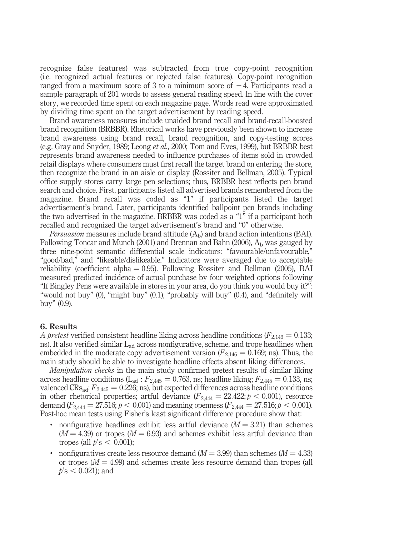recognize false features) was subtracted from true copy-point recognition (i.e. recognized actual features or rejected false features). Copy-point recognition ranged from a maximum score of 3 to a minimum score of  $-4$ . Participants read a sample paragraph of 201 words to assess general reading speed. In line with the cover story, we recorded time spent on each magazine page. Words read were approximated by dividing time spent on the target advertisement by reading speed.

Brand awareness measures include unaided brand recall and brand-recall-boosted brand recognition (BRBBR). Rhetorical works have previously been shown to increase brand awareness using brand recall, brand recognition, and copy-testing scores (e.g. Gray and Snyder, 1989; Leong et al., 2000; Tom and Eves, 1999), but BRBBR best represents brand awareness needed to influence purchases of items sold in crowded retail displays where consumers must first recall the target brand on entering the store, then recognize the brand in an aisle or display (Rossiter and Bellman, 2005). Typical office supply stores carry large pen selections; thus, BRBBR best reflects pen brand search and choice. First, participants listed all advertised brands remembered from the magazine. Brand recall was coded as "1" if participants listed the target advertisement's brand. Later, participants identified ballpoint pen brands including the two advertised in the magazine. BRBBR was coded as a "1" if a participant both recalled and recognized the target advertisement's brand and "0" otherwise.

*Persuasion* measures include brand attitude  $(A<sub>b</sub>)$  and brand action intentions (BAI). Following Toncar and Munch (2001) and Brennan and Bahn (2006),  $A<sub>b</sub>$  was gauged by three nine-point semantic differential scale indicators: "favourable/unfavourable," "good/bad," and "likeable/dislikeable." Indicators were averaged due to acceptable reliability (coefficient alpha  $= 0.95$ ). Following Rossiter and Bellman (2005), BAI measured predicted incidence of actual purchase by four weighted options following "If Bingley Pens were available in stores in your area, do you think you would buy it?": "would not buy" (0), "might buy" (0.1), "probably will buy" (0.4), and "definitely will buy" (0.9).

#### 6. Results

A pretest verified consistent headline liking across headline conditions ( $F_{2,146} = 0.133$ ; ns). It also verified similar  $L_{ad}$  across nonfigurative, scheme, and trope headlines when embedded in the moderate copy advertisement version ( $F_{2,146} = 0.169$ ; ns). Thus, the main study should be able to investigate headline effects absent liking differences.

Manipulation checks in the main study confirmed pretest results of similar liking across headline conditions ( $L_{ad}$ :  $F_{2,445} = 0.763$ , ns; headline liking;  $F_{2,445} = 0.133$ , ns; valenced  $CRs_{ad}$ :  $F_{2,445} = 0.226$ ; ns), but expected differences across headline conditions in other rhetorical properties; artful deviance  $(F_{2,444} = 22.422; p < 0.001)$ , resource demand  $(F_{2,444} = 27.516; p < 0.001)$  and meaning openness  $(F_{2,444} = 27.516; p < 0.001)$ . Post-hoc mean tests using Fisher's least significant difference procedure show that:

- nonfigurative headlines exhibit less artful deviance  $(M = 3.21)$  than schemes  $(M = 4.39)$  or tropes  $(M = 6.93)$  and schemes exhibit less artful deviance than tropes (all  $p's < 0.001$ );
- nonfiguratives create less resource demand ( $M = 3.99$ ) than schemes ( $M = 4.33$ ) or tropes  $(M = 4.99)$  and schemes create less resource demand than tropes (all  $p$ 's < 0.021); and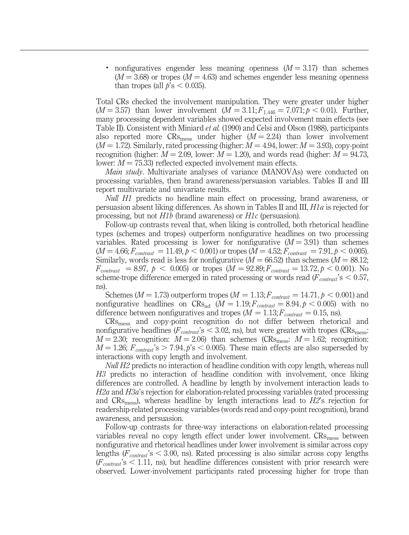• nonfiguratives engender less meaning openness  $(M = 3.17)$  than schemes  $(M = 3.68)$  or tropes  $(M = 4.63)$  and schemes engender less meaning openness than tropes (all  $p's < 0.035$ ).

Total CRs checked the involvement manipulation. They were greater under higher  $(M = 3.57)$  than lower involvement  $(M = 3.11; F_{1,446} = 7.071; p < 0.01)$ . Further, many processing dependent variables showed expected involvement main effects (see Table II). Consistent with Miniard et al. (1990) and Celsi and Olson (1988), participants also reported more  $CRs_{mess}$  under higher ( $M = 2.24$ ) than lower involvement  $(M = 1.72)$ . Similarly, rated processing (higher:  $M = 4.94$ , lower:  $M = 3.93$ ), copy-point recognition (higher:  $M = 2.09$ , lower:  $M = 1.20$ ), and words read (higher:  $M = 94.73$ , lower:  $M = 75.33$ ) reflected expected involvement main effects.

*Main study*. Multivariate analyses of variance (MANOVAs) were conducted on processing variables, then brand awareness/persuasion variables. Tables II and III report multivariate and univariate results.

Null H1 predicts no headline main effect on processing, brand awareness, or persuasion absent liking differences. As shown in Tables II and III, H1a is rejected for processing, but not H1b (brand awareness) or H1c (persuasion).

Follow-up contrasts reveal that, when liking is controlled, both rhetorical headline types (schemes and tropes) outperform nonfigurative headlines on two processing variables. Rated processing is lower for nonfigurative  $(M = 3.91)$  than schemes  $(M = 4.66; F_{contrast} = 11.49, p < 0.001)$  or tropes  $(M = 4.52; F_{contrast} = 7.91, p < 0.005)$ . Similarly, words read is less for nonfigurative ( $M = 66.52$ ) than schemes ( $M = 88.12$ ;  $F_{contrast} = 8.97, p < 0.005$  or tropes  $(M = 92.89; F_{contrast} = 13.72, p < 0.001)$ . No scheme-trope difference emerged in rated processing or words read ( $F_{contrast}$ 's  $\leq 0.57$ , ns).

Schemes ( $M = 1.73$ ) outperform tropes ( $M = 1.13; F_{contrast} = 14.71, p < 0.001$ ) and nonfigurative headlines on  $CRs_{ad}$  ( $M = 1.19; F_{contrast} = 8.94, p < 0.005$ ) with no difference between nonfiguratives and tropes ( $M = 1.13; F_{contrast} = 0.15$ , ns).

CRsmess and copy-point recognition do not differ between rhetorical and nonfigurative headlines ( $F_{contrast}$ 's < 3.02, ns), but were greater with tropes ( $CRs_{mess}$ ).  $M = 2.30$ ; recognition:  $M = 2.06$ ) than schemes (CRs<sub>mess</sub>:  $M = 1.62$ ; recognition:  $M = 1.26$ ;  $F_{contrast}$ 's  $> 7.94$ ,  $p$ 's  $< 0.005$ ). These main effects are also superseded by interactions with copy length and involvement.

Null H<sub>2</sub> predicts no interaction of headline condition with copy length, whereas null H3 predicts no interaction of headline condition with involvement, once liking differences are controlled. A headline by length by involvement interaction leads to H2a and H3a's rejection for elaboration-related processing variables (rated processing and  $CRs<sub>mess</sub>$ , whereas headline by length interactions lead to  $H2$ 's rejection for readership-related processing variables (words read and copy-point recognition), brand awareness, and persuasion.

Follow-up contrasts for three-way interactions on elaboration-related processing variables reveal no copy length effect under lower involvement.  $CRs<sub>mess</sub>$  between nonfigurative and rhetorical headlines under lower involvement is similar across copy lengths ( $F_{contrast}$ 's  $\lt$  3.00, ns). Rated processing is also similar across copy lengths  $(F_{contrast}$ 's < 1.11, ns), but headline differences consistent with prior research were observed. Lower-involvement participants rated processing higher for trope than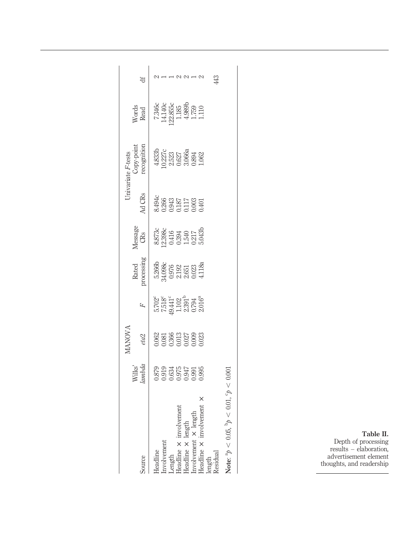|                                                                                                                                                |                                            | LANOV.                            |                                                                                                       |                                                |                                                      |                                                                                                         | Jnivariate F-tests                                       |                                                                                                     |    |
|------------------------------------------------------------------------------------------------------------------------------------------------|--------------------------------------------|-----------------------------------|-------------------------------------------------------------------------------------------------------|------------------------------------------------|------------------------------------------------------|---------------------------------------------------------------------------------------------------------|----------------------------------------------------------|-----------------------------------------------------------------------------------------------------|----|
| Source                                                                                                                                         | Wilks'<br>ambda                            | eta <sub>2</sub>                  |                                                                                                       | cocessing<br>Rated                             | Message<br>CRs                                       | Ad CRs                                                                                                  | cipc-yoin                                                | Nords<br>Read                                                                                       | ₩  |
| Headline                                                                                                                                       |                                            | .062                              | $\begin{array}{l} 5.702 \\ 7.518 \\ 1.102 \\ 1.102 \\ 2.391 \\ 0.794 \\ 0.794 \\ 0.016^a \end{array}$ |                                                |                                                      |                                                                                                         |                                                          |                                                                                                     |    |
|                                                                                                                                                |                                            |                                   |                                                                                                       |                                                |                                                      |                                                                                                         |                                                          |                                                                                                     |    |
|                                                                                                                                                |                                            |                                   |                                                                                                       |                                                |                                                      |                                                                                                         |                                                          |                                                                                                     |    |
|                                                                                                                                                | 3879<br>0.034<br>0.0975<br>0.0900<br>0.095 | 0.081<br>0.366<br>0.027<br>0.0023 |                                                                                                       | 5.2666<br>3.0976<br>3.0976<br>3.0023<br>4.118a | 8736<br>8.8984<br>8.394<br>8.543<br>8.5435<br>5.0435 | $\frac{194}{3.266}$<br>$\frac{125}{137}$<br>$\frac{125}{117}$<br>$\frac{125}{117}$<br>$\frac{125}{117}$ | $4.8331$<br>0.227<br>0.3523<br>0.3066a<br>3.062<br>1.062 | $\begin{array}{l} 7.346c\\ 14.140c\\ 22.855c\\ 1.185\\ 1.759\\ 1.759\\ 1.110\\ 1.110\\ \end{array}$ |    |
|                                                                                                                                                |                                            |                                   |                                                                                                       |                                                |                                                      |                                                                                                         |                                                          |                                                                                                     |    |
|                                                                                                                                                |                                            |                                   |                                                                                                       |                                                |                                                      |                                                                                                         |                                                          |                                                                                                     |    |
| Involvement<br>Length<br>Headline × involvement<br>Headline × length<br>Involvement × length<br>Headline × involvement :<br>length<br>Residual |                                            |                                   |                                                                                                       |                                                |                                                      |                                                                                                         |                                                          |                                                                                                     | 43 |
| Note: $a_b < 0.05$ $b_b <$                                                                                                                     |                                            |                                   |                                                                                                       |                                                |                                                      |                                                                                                         |                                                          |                                                                                                     |    |

Note:  $p < 0.05$ ,  $p < 0.01$ ,  $p < 0.001$ Note:  ${}^{3}p$  < 0.05,  ${}^{5}p$  < 0.01,  ${}^{c}p$  < 0.001

Table II. Depth of processing results – elaboration, advertisement element thoughts, and readership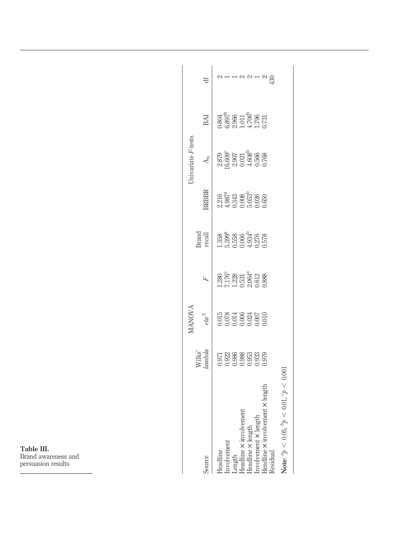| Table III.          |
|---------------------|
| Brand awareness and |
| persuasion results  |

|                                                             |                 | <b>ANOVA</b>                            |                                                                                           |                                                                 |                                                                             | Inivariate F-tests                        |                                                |  |
|-------------------------------------------------------------|-----------------|-----------------------------------------|-------------------------------------------------------------------------------------------|-----------------------------------------------------------------|-----------------------------------------------------------------------------|-------------------------------------------|------------------------------------------------|--|
| source                                                      | Wilks'<br>ambda | $eta^2$                                 |                                                                                           | Brand<br>recall                                                 | <b>SRBBR</b>                                                                | $A_h$                                     | BAI                                            |  |
| leadline                                                    |                 |                                         |                                                                                           |                                                                 | $2.216$<br>$4.987$ <sup>2</sup><br>$0.343$<br>$0.008$<br>$0.026$<br>$0.026$ |                                           |                                                |  |
| nvolvement                                                  |                 |                                         |                                                                                           |                                                                 |                                                                             |                                           |                                                |  |
| Length                                                      |                 |                                         |                                                                                           |                                                                 |                                                                             |                                           |                                                |  |
| Jeadline X involvemer                                       |                 |                                         |                                                                                           |                                                                 |                                                                             |                                           |                                                |  |
| leadline × length                                           |                 | 015<br>0.078<br>0.006<br>0.000<br>0.000 | $\frac{1280}{7.176}$<br>$\frac{728}{1.231}$<br>$\frac{123}{2.064}$<br>$\frac{200}{2.088}$ | $1.358$<br>$3.3938$<br>$1.358$<br>$1.378$<br>$1.378$<br>$1.578$ |                                                                             | 2879<br>0.6007<br>0.021<br>0.506<br>0.768 | 0.804<br>5.897<br>5.805 1706<br>1.731<br>1.731 |  |
| nvolvement × length                                         |                 |                                         |                                                                                           |                                                                 |                                                                             |                                           |                                                |  |
| lenot<br>Jeadline X involvement X<br>esidual                |                 |                                         |                                                                                           |                                                                 |                                                                             |                                           |                                                |  |
| Note: ${}^{3}p$ < 0.05, ${}^{5}p$ < 0.01, ${}^{6}p$ < 0.001 |                 |                                         |                                                                                           |                                                                 |                                                                             |                                           |                                                |  |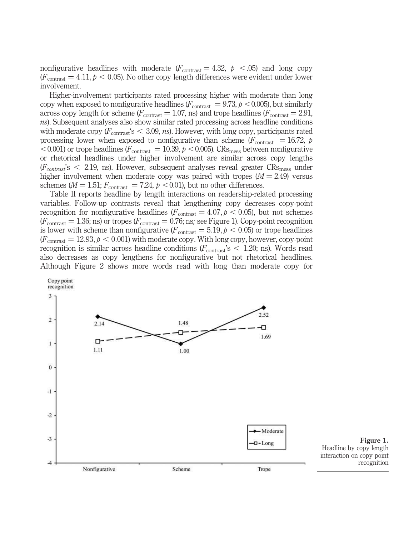nonfigurative headlines with moderate  $(F_{\text{contrast}} = 4.32, p \le .05)$  and long copy  $(F_{\text{contrast}} = 4.11, p < 0.05)$ . No other copy length differences were evident under lower involvement.

Higher-involvement participants rated processing higher with moderate than long copy when exposed to nonfigurative headlines ( $F_{\text{contrast}} = 9.73$ ,  $p < 0.005$ ), but similarly across copy length for scheme ( $F_{\text{contrast}} = 1.07$ , ns) and trope headlines ( $F_{\text{contrast}} = 2.91$ , ns). Subsequent analyses also show similar rated processing across headline conditions with moderate copy  $(F_{\text{contrast}}\text{S} < 3.09, \text{ns})$ . However, with long copy, participants rated processing lower when exposed to nonfigurative than scheme ( $F_{\text{contrast}} = 16.72$ , p  $< 0.001$ ) or trope headlines ( $F_{\text{contrast}} = 10.39, p < 0.005$ ). CRs<sub>mess</sub> between nonfigurative or rhetorical headlines under higher involvement are similar across copy lengths  $(F_{contrast}$ 's  $\leq$  2.19, ns). However, subsequent analyses reveal greater  $CRs_{mess}$  under higher involvement when moderate copy was paired with tropes  $(M = 2.49)$  versus schemes ( $M = 1.51$ ;  $F_{\text{contrast}} = 7.24$ ,  $p < 0.01$ ), but no other differences.

Table II reports headline by length interactions on readership-related processing variables. Follow-up contrasts reveal that lengthening copy decreases copy-point recognition for nonfigurative headlines ( $F_{\text{contrast}} = 4.07, p < 0.05$ ), but not schemes  $(F_{\text{contrast}} = 1.36; \text{ns})$  or tropes  $(F_{\text{contrast}} = 0.76; \text{ns}; \text{see Figure 1}).$  Copy-point recognition is lower with scheme than nonfigurative ( $F_{\text{contrast}} = 5.19, p < 0.05$ ) or trope headlines  $(F_{\text{contrast}} = 12.93, p < 0.001)$  with moderate copy. With long copy, however, copy-point recognition is similar across headline conditions  $(F_{\text{contrast}}\text{'s} < 1.20; \text{ns})$ . Words read also decreases as copy lengthens for nonfigurative but not rhetorical headlines. Although Figure 2 shows more words read with long than moderate copy for

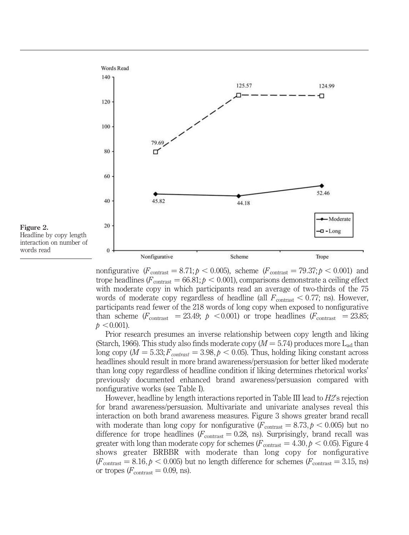

nonfigurative  $(F_{\text{contrast}} = 8.71; p < 0.005)$ , scheme  $(F_{\text{contrast}} = 79.37; p < 0.001)$  and trope headlines ( $F_{\text{contrast}} = 66.81; p < 0.001$ ), comparisons demonstrate a ceiling effect with moderate copy in which participants read an average of two-thirds of the 75 words of moderate copy regardless of headline (all  $F_{\text{contrast}} < 0.77$ ; ns). However, participants read fewer of the 218 words of long copy when exposed to nonfigurative than scheme ( $F_{\text{contrast}}$  = 23.49;  $p$  < 0.001) or trope headlines ( $F_{\text{contrast}}$  = 23.85;  $p < 0.001$ ).

Prior research presumes an inverse relationship between copy length and liking (Starch, 1966). This study also finds moderate copy ( $M = 5.74$ ) produces more L<sub>ad</sub> than long copy ( $M = 5.33; F_{contrast} = 3.98, p < 0.05$ ). Thus, holding liking constant across headlines should result in more brand awareness/persuasion for better liked moderate than long copy regardless of headline condition if liking determines rhetorical works' previously documented enhanced brand awareness/persuasion compared with nonfigurative works (see Table I).

However, headline by length interactions reported in Table III lead to H2's rejection for brand awareness/persuasion. Multivariate and univariate analyses reveal this interaction on both brand awareness measures. Figure 3 shows greater brand recall with moderate than long copy for nonfigurative  $(F_{\text{contrast}} = 8.73, p < 0.005)$  but no difference for trope headlines ( $F_{\text{contrast}} = 0.28$ , ns). Surprisingly, brand recall was greater with long than moderate copy for schemes ( $F_{\text{contrast}} = 4.30, p < 0.05$ ). Figure 4 shows greater BRBBR with moderate than long copy for nonfigurative  $(F_{\text{contrast}} = 8.16, p < 0.005)$  but no length difference for schemes  $(F_{\text{contrast}} = 3.15, \text{ns})$ or tropes  $(F_{\text{contrast}} = 0.09, \text{ ns}).$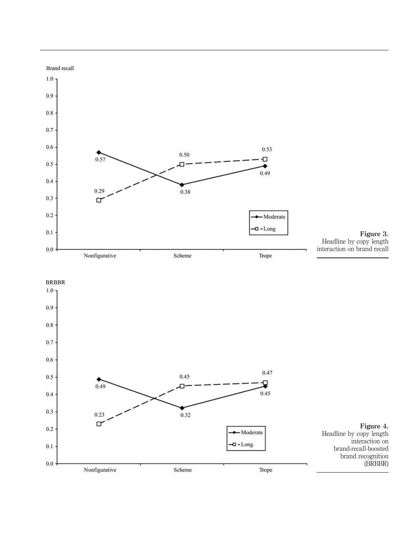

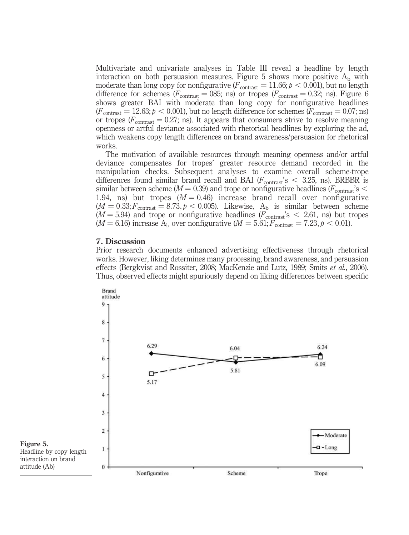Multivariate and univariate analyses in Table III reveal a headline by length interaction on both persuasion measures. Figure 5 shows more positive  $A<sub>b</sub>$  with moderate than long copy for nonfigurative ( $F_{\text{contrast}} = 11.66; p < 0.001$ ), but no length difference for schemes ( $F_{\text{contrast}} = 085$ ; ns) or tropes ( $F_{\text{contrast}} = 0.32$ ; ns). Figure 6 shows greater BAI with moderate than long copy for nonfigurative headlines  $(F_{\text{contrast}} = 12.63; p < 0.001)$ , but no length difference for schemes  $(F_{\text{contrast}} = 0.07; \text{ns})$ or tropes ( $F_{\text{contrast}} = 0.27$ ; ns). It appears that consumers strive to resolve meaning openness or artful deviance associated with rhetorical headlines by exploring the ad, which weakens copy length differences on brand awareness/persuasion for rhetorical works.

The motivation of available resources through meaning openness and/or artful deviance compensates for tropes' greater resource demand recorded in the manipulation checks. Subsequent analyses to examine overall scheme-trope differences found similar brand recall and BAI ( $F_{\text{contrast}}$ 's  $\lt$  3.25, ns). BRBBR is similar between scheme ( $M = 0.39$ ) and trope or nonfigurative headlines ( $F_{\text{contrast}}$ 's  $\leq$ 1.94, ns) but tropes  $(M = 0.46)$  increase brand recall over nonfigurative  $(M = 0.33; F<sub>contrast</sub> = 8.73, p < 0.005)$ . Likewise, A<sub>b</sub> is similar between scheme  $(M = 5.94)$  and trope or nonfigurative headlines  $(F_{\text{contrast}})$ 's  $<$  2.61, ns) but tropes  $(M = 6.16)$  increase A<sub>b</sub> over nonfigurative  $(M = 5.61; F_{\text{contrast}} = 7.23, p < 0.01)$ .

#### 7. Discussion

Prior research documents enhanced advertising effectiveness through rhetorical works. However, liking determines many processing, brand awareness, and persuasion effects (Bergkvist and Rossiter, 2008; MacKenzie and Lutz, 1989; Smits et al., 2006). Thus, observed effects might spuriously depend on liking differences between specific

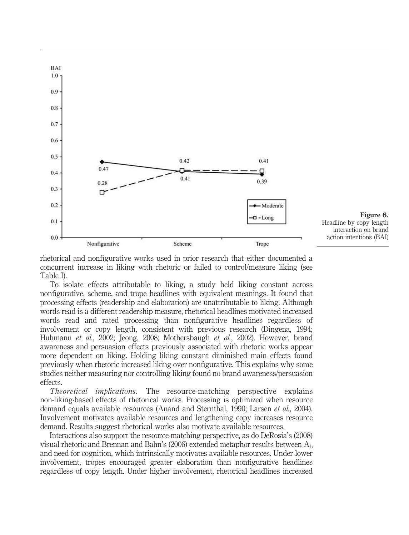

rhetorical and nonfigurative works used in prior research that either documented a concurrent increase in liking with rhetoric or failed to control/measure liking (see Table I).

To isolate effects attributable to liking, a study held liking constant across nonfigurative, scheme, and trope headlines with equivalent meanings. It found that processing effects (readership and elaboration) are unattributable to liking. Although words read is a different readership measure, rhetorical headlines motivated increased words read and rated processing than nonfigurative headlines regardless of involvement or copy length, consistent with previous research (Dingena, 1994; Huhmann et al., 2002; Jeong, 2008; Mothersbaugh et al., 2002). However, brand awareness and persuasion effects previously associated with rhetoric works appear more dependent on liking. Holding liking constant diminished main effects found previously when rhetoric increased liking over nonfigurative. This explains why some studies neither measuring nor controlling liking found no brand awareness/persuasion effects.

Theoretical implications. The resource-matching perspective explains non-liking-based effects of rhetorical works. Processing is optimized when resource demand equals available resources (Anand and Sternthal, 1990; Larsen et al., 2004). Involvement motivates available resources and lengthening copy increases resource demand. Results suggest rhetorical works also motivate available resources.

Interactions also support the resource-matching perspective, as do DeRosia's (2008) visual rhetoric and Brennan and Bahn's (2006) extended metaphor results between  $A<sub>b</sub>$ and need for cognition, which intrinsically motivates available resources. Under lower involvement, tropes encouraged greater elaboration than nonfigurative headlines regardless of copy length. Under higher involvement, rhetorical headlines increased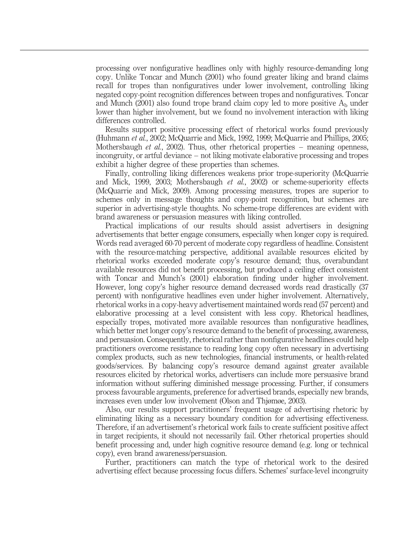processing over nonfigurative headlines only with highly resource-demanding long copy. Unlike Toncar and Munch (2001) who found greater liking and brand claims recall for tropes than nonfiguratives under lower involvement, controlling liking negated copy-point recognition differences between tropes and nonfiguratives. Toncar and Munch (2001) also found trope brand claim copy led to more positive  $A<sub>b</sub>$  under lower than higher involvement, but we found no involvement interaction with liking differences controlled.

Results support positive processing effect of rhetorical works found previously (Huhmann et al., 2002; McQuarrie and Mick, 1992, 1999; McQuarrie and Phillips, 2005; Mothersbaugh *et al.*, 2002). Thus, other rhetorical properties – meaning openness, incongruity, or artful deviance – not liking motivate elaborative processing and tropes exhibit a higher degree of these properties than schemes.

Finally, controlling liking differences weakens prior trope-superiority (McQuarrie and Mick, 1999, 2003; Mothersbaugh et al., 2002) or scheme-superiority effects (McQuarrie and Mick, 2009). Among processing measures, tropes are superior to schemes only in message thoughts and copy-point recognition, but schemes are superior in advertising-style thoughts. No scheme-trope differences are evident with brand awareness or persuasion measures with liking controlled.

Practical implications of our results should assist advertisers in designing advertisements that better engage consumers, especially when longer copy is required. Words read averaged 60-70 percent of moderate copy regardless of headline. Consistent with the resource-matching perspective, additional available resources elicited by rhetorical works exceeded moderate copy's resource demand; thus, overabundant available resources did not benefit processing, but produced a ceiling effect consistent with Toncar and Munch's (2001) elaboration finding under higher involvement. However, long copy's higher resource demand decreased words read drastically (37 percent) with nonfigurative headlines even under higher involvement. Alternatively, rhetorical works in a copy-heavy advertisement maintained words read (57 percent) and elaborative processing at a level consistent with less copy. Rhetorical headlines, especially tropes, motivated more available resources than nonfigurative headlines, which better met longer copy's resource demand to the benefit of processing, awareness, and persuasion. Consequently, rhetorical rather than nonfigurative headlines could help practitioners overcome resistance to reading long copy often necessary in advertising complex products, such as new technologies, financial instruments, or health-related goods/services. By balancing copy's resource demand against greater available resources elicited by rhetorical works, advertisers can include more persuasive brand information without suffering diminished message processing. Further, if consumers process favourable arguments, preference for advertised brands, especially new brands, increases even under low involvement (Olson and Thjømøe, 2003).

Also, our results support practitioners' frequent usage of advertising rhetoric by eliminating liking as a necessary boundary condition for advertising effectiveness. Therefore, if an advertisement's rhetorical work fails to create sufficient positive affect in target recipients, it should not necessarily fail. Other rhetorical properties should benefit processing and, under high cognitive resource demand (e.g. long or technical copy), even brand awareness/persuasion.

Further, practitioners can match the type of rhetorical work to the desired advertising effect because processing focus differs. Schemes' surface-level incongruity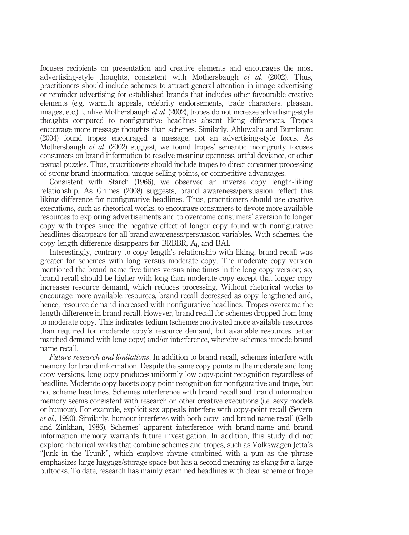focuses recipients on presentation and creative elements and encourages the most advertising-style thoughts, consistent with Mothersbaugh et al. (2002). Thus, practitioners should include schemes to attract general attention in image advertising or reminder advertising for established brands that includes other favourable creative elements (e.g. warmth appeals, celebrity endorsements, trade characters, pleasant images, etc.). Unlike Mothersbaugh et al. (2002), tropes do not increase advertising-style thoughts compared to nonfigurative headlines absent liking differences. Tropes encourage more message thoughts than schemes. Similarly, Ahluwalia and Burnkrant (2004) found tropes encouraged a message, not an advertising-style focus. As Mothersbaugh *et al.* (2002) suggest, we found tropes' semantic incongruity focuses consumers on brand information to resolve meaning openness, artful deviance, or other textual puzzles. Thus, practitioners should include tropes to direct consumer processing of strong brand information, unique selling points, or competitive advantages.

Consistent with Starch (1966), we observed an inverse copy length-liking relationship. As Grimes (2008) suggests, brand awareness/persuasion reflect this liking difference for nonfigurative headlines. Thus, practitioners should use creative executions, such as rhetorical works, to encourage consumers to devote more available resources to exploring advertisements and to overcome consumers' aversion to longer copy with tropes since the negative effect of longer copy found with nonfigurative headlines disappears for all brand awareness/persuasion variables. With schemes, the copy length difference disappears for BRBBR,  $A<sub>b</sub>$  and BAI.

Interestingly, contrary to copy length's relationship with liking, brand recall was greater for schemes with long versus moderate copy. The moderate copy version mentioned the brand name five times versus nine times in the long copy version; so, brand recall should be higher with long than moderate copy except that longer copy increases resource demand, which reduces processing. Without rhetorical works to encourage more available resources, brand recall decreased as copy lengthened and, hence, resource demand increased with nonfigurative headlines. Tropes overcame the length difference in brand recall. However, brand recall for schemes dropped from long to moderate copy. This indicates tedium (schemes motivated more available resources than required for moderate copy's resource demand, but available resources better matched demand with long copy) and/or interference, whereby schemes impede brand name recall.

Future research and limitations. In addition to brand recall, schemes interfere with memory for brand information. Despite the same copy points in the moderate and long copy versions, long copy produces uniformly low copy-point recognition regardless of headline. Moderate copy boosts copy-point recognition for nonfigurative and trope, but not scheme headlines. Schemes interference with brand recall and brand information memory seems consistent with research on other creative executions (i.e. sexy models or humour). For example, explicit sex appeals interfere with copy-point recall (Severn et al., 1990). Similarly, humour interferes with both copy- and brand-name recall (Gelb and Zinkhan, 1986). Schemes' apparent interference with brand-name and brand information memory warrants future investigation. In addition, this study did not explore rhetorical works that combine schemes and tropes, such as Volkswagen Jetta's "Junk in the Trunk", which employs rhyme combined with a pun as the phrase emphasizes large luggage/storage space but has a second meaning as slang for a large buttocks. To date, research has mainly examined headlines with clear scheme or trope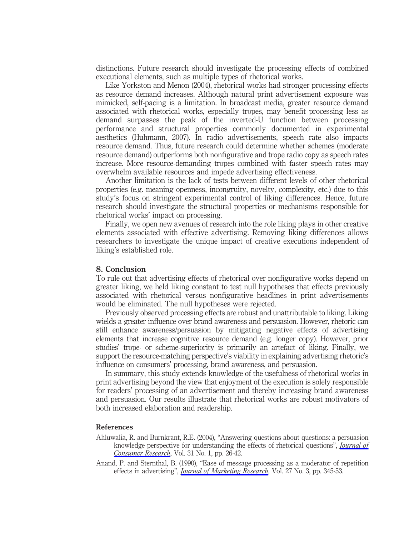distinctions. Future research should investigate the processing effects of combined executional elements, such as multiple types of rhetorical works.

Like Yorkston and Menon (2004), rhetorical works had stronger processing effects as resource demand increases. Although natural print advertisement exposure was mimicked, self-pacing is a limitation. In broadcast media, greater resource demand associated with rhetorical works, especially tropes, may benefit processing less as demand surpasses the peak of the inverted-U function between processing performance and structural properties commonly documented in experimental aesthetics (Huhmann, 2007). In radio advertisements, speech rate also impacts resource demand. Thus, future research could determine whether schemes (moderate resource demand) outperforms both nonfigurative and trope radio copy as speech rates increase. More resource-demanding tropes combined with faster speech rates may overwhelm available resources and impede advertising effectiveness.

Another limitation is the lack of tests between different levels of other rhetorical properties (e.g. meaning openness, incongruity, novelty, complexity, etc.) due to this study's focus on stringent experimental control of liking differences. Hence, future research should investigate the structural properties or mechanisms responsible for rhetorical works' impact on processing.

Finally, we open new avenues of research into the role liking plays in other creative elements associated with effective advertising. Removing liking differences allows researchers to investigate the unique impact of creative executions independent of liking's established role.

#### 8. Conclusion

To rule out that advertising effects of rhetorical over nonfigurative works depend on greater liking, we held liking constant to test null hypotheses that effects previously associated with rhetorical versus nonfigurative headlines in print advertisements would be eliminated. The null hypotheses were rejected.

Previously observed processing effects are robust and unattributable to liking. Liking wields a greater influence over brand awareness and persuasion. However, rhetoric can still enhance awareness/persuasion by mitigating negative effects of advertising elements that increase cognitive resource demand (e.g. longer copy). However, prior studies' trope- or scheme-superiority is primarily an artefact of liking. Finally, we support the resource-matching perspective's viability in explaining advertising rhetoric's influence on consumers' processing, brand awareness, and persuasion.

In summary, this study extends knowledge of the usefulness of rhetorical works in print advertising beyond the view that enjoyment of the execution is solely responsible for readers' processing of an advertisement and thereby increasing brand awareness and persuasion. Our results illustrate that rhetorical works are robust motivators of both increased elaboration and readership.

#### References

- Ahluwalia, R. and Burnkrant, R.E. (2004), "Answering questions about questions: a persuasion knowledge perspective for understanding the effects of rhetorical questions", [Journal of](https://www.emeraldinsight.com/action/showLinks?doi=10.1108%2F03090561211259943&crossref=10.1086%2F383421&isi=000222514000003&citationId=p_1) [Consumer Research](https://www.emeraldinsight.com/action/showLinks?doi=10.1108%2F03090561211259943&crossref=10.1086%2F383421&isi=000222514000003&citationId=p_1), Vol. 31 No. 1, pp. 26-42.
- Anand, P. and Sternthal, B. (1990), "Ease of message processing as a moderator of repetition effects in advertising", *[Journal of Marketing Research](https://www.emeraldinsight.com/action/showLinks?doi=10.1108%2F03090561211259943&crossref=10.1177%2F002224379002700308&isi=A1990DR83500008&citationId=p_2)*, Vol. 27 No. 3, pp. 345-53.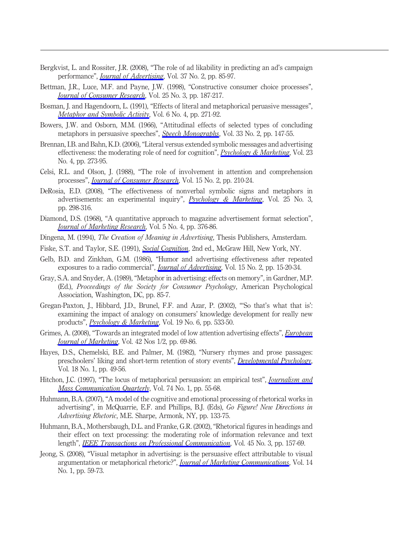- Bergkvist, L. and Rossiter, J.R. (2008), "The role of ad likability in predicting an ad's campaign performance", [Journal of Advertising](https://www.emeraldinsight.com/action/showLinks?doi=10.1108%2F03090561211259943&crossref=10.2753%2FJOA0091-3367370207&isi=000256463700008&citationId=p_3), Vol. 37 No. 2, pp. 85-97.
- Bettman, J.R., Luce, M.F. and Payne, J.W. (1998), "Constructive consumer choice processes", [Journal of Consumer Research](https://www.emeraldinsight.com/action/showLinks?doi=10.1108%2F03090561211259943&crossref=10.1086%2F209535&isi=000077542600001&citationId=p_4), Vol. 25 No. 3, pp. 187-217.
- Bosman, J. and Hagendoorn, L. (1991), "Effects of literal and metaphorical peruasive messages", [Metaphor and Symbolic Activity](https://www.emeraldinsight.com/action/showLinks?doi=10.1108%2F03090561211259943&crossref=10.1207%2Fs15327868ms0604_3&citationId=p_5), Vol. 6 No. 4, pp. 271-92.
- Bowers, J.W. and Osborn, M.M. (1966), "Attitudinal effects of selected types of concluding metaphors in persuasive speeches", [Speech Monographs](https://www.emeraldinsight.com/action/showLinks?doi=10.1108%2F03090561211259943&crossref=10.1080%2F03637756609375490&citationId=p_6), Vol. 33 No. 2, pp. 147-55.
- Brennan, I.B. and Bahn, K.D. (2006), "Literal versus extended symbolic messages and advertising effectiveness: the moderating role of need for cognition",  $Psychology & Marketing$ , Vol. 23 No. 4, pp. 273-95.
- Celsi, R.L. and Olson, J. (1988), "The role of involvement in attention and comprehension processes", *[Journal of Consumer Research](https://www.emeraldinsight.com/action/showLinks?doi=10.1108%2F03090561211259943&crossref=10.1086%2F209158&isi=A1988Q202300005&citationId=p_8)*, Vol. 15 No. 2, pp. 210-24.
- DeRosia, E.D. (2008), "The effectiveness of nonverbal symbolic signs and metaphors in advertisements: an experimental inquiry", *[Psychology & Marketing](https://www.emeraldinsight.com/action/showLinks?doi=10.1108%2F03090561211259943&crossref=10.1002%2Fmar.20210&isi=000254666600004&citationId=p_9)*, Vol. 25 No. 3, pp. 298-316.
- Diamond, D.S. (1968), "A quantitative approach to magazine advertisement format selection", **[Journal of Marketing Research](https://www.emeraldinsight.com/action/showLinks?doi=10.1108%2F03090561211259943&crossref=10.2307%2F3150262&isi=A1968ZA46400004&citationId=p_10), Vol. 5 No. 4, pp. 376-86.**
- Dingena, M. (1994), The Creation of Meaning in Advertising, Thesis Publishers, Amsterdam.
- Fiske, S.T. and Taylor, S.E. (1991), [Social Cognition](https://www.emeraldinsight.com/action/showLinks?doi=10.1108%2F03090561211259943&crossref=10.4135%2F9781446286395&citationId=p_12), 2nd ed., McGraw Hill, New York, NY.
- Gelb, B.D. and Zinkhan, G.M. (1986), "Humor and advertising effectiveness after repeated exposures to a radio commercial", *[Journal of Advertising](https://www.emeraldinsight.com/action/showLinks?doi=10.1108%2F03090561211259943&crossref=10.1080%2F00913367.1986.10673000&isi=A1986C751700003&citationId=p_13)*, Vol. 15 No. 2, pp. 15-20-34.
- Gray, S.A. and Snyder, A. (1989), "Metaphor in advertising: effects on memory", in Gardner, M.P. (Ed.), Proceedings of the Society for Consumer Psychology, American Psychological Association, Washington, DC, pp. 85-7.
- Gregan-Paxton, J., Hibbard, J.D., Brunel, F.F. and Azar, P. (2002), "'So that's what that is': examining the impact of analogy on consumers' knowledge development for really new products", *[Psychology & Marketing](https://www.emeraldinsight.com/action/showLinks?doi=10.1108%2F03090561211259943&crossref=10.1002%2Fmar.10023&isi=000175690600005&citationId=p_15)*, Vol. 19 No. 6, pp. 533-50.
- Grimes, A. (2008), "Towards an integrated model of low attention advertising effects", *[European](https://www.emeraldinsight.com/action/showLinks?doi=10.1108%2F03090561211259943&system=10.1108%2F03090560810840916&isi=000254142900005&citationId=p_16)* [Journal of Marketing](https://www.emeraldinsight.com/action/showLinks?doi=10.1108%2F03090561211259943&system=10.1108%2F03090560810840916&isi=000254142900005&citationId=p_16), Vol. 42 Nos 1/2, pp. 69-86.
- Hayes, D.S., Chemelski, B.E. and Palmer, M. (1982), "Nursery rhymes and prose passages: preschoolers' liking and short-term retention of story events", *[Developmental Psychology](https://www.emeraldinsight.com/action/showLinks?doi=10.1108%2F03090561211259943&crossref=10.1037%2F0012-1649.18.1.49&isi=A1982NF14700008&citationId=p_17)*, Vol. 18 No. 1, pp. 49-56.
- Hitchon, J.C. (1997), "The locus of metaphorical persuasion: an empirical test", *[Journalism and](https://www.emeraldinsight.com/action/showLinks?doi=10.1108%2F03090561211259943&crossref=10.1177%2F107769909707400105&isi=A1997XA45600004&citationId=p_18)* [Mass Communication Quarterly](https://www.emeraldinsight.com/action/showLinks?doi=10.1108%2F03090561211259943&crossref=10.1177%2F107769909707400105&isi=A1997XA45600004&citationId=p_18), Vol. 74 No. 1, pp. 55-68.
- Huhmann, B.A. (2007), "A model of the cognitive and emotional processing of rhetorical works in advertising", in McQuarrie, E.F. and Phillips, B.J. (Eds), Go Figure! New Directions in Advertising Rhetoric, M.E. Sharpe, Armonk, NY, pp. 133-75.
- Huhmann, B.A., Mothersbaugh, D.L. and Franke, G.R. (2002), "Rhetorical figures in headings and their effect on text processing: the moderating role of information relevance and text length", *[IEEE Transactions on Professional Communication](https://www.emeraldinsight.com/action/showLinks?doi=10.1108%2F03090561211259943&isi=000177833500002&citationId=p_20)*, Vol. 45 No. 3, pp. 157-69.
- Jeong, S. (2008), "Visual metaphor in advertising: is the persuasive effect attributable to visual argumentation or metaphorical rhetoric?", *[Journal of Marketing Communications](https://www.emeraldinsight.com/action/showLinks?doi=10.1108%2F03090561211259943&crossref=10.1080%2F14697010701717488&citationId=p_21)*, Vol. 14 No. 1, pp. 59-73.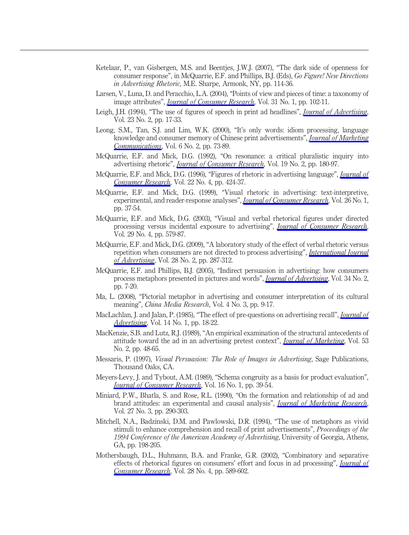- Ketelaar, P., van Gisbergen, M.S. and Beentjes, J.W.J. (2007), "The dark side of openness for consumer response", in McQuarrie, E.F. and Phillips, B.J. (Eds), Go Figure! New Directions in Advertising Rhetoric, M.E. Sharpe, Armonk, NY, pp. 114-36.
- Larsen, V., Luna, D. and Peracchio, L.A. (2004), "Points of view and pieces of time: a taxonomy of image attributes", *[Journal of Consumer Research](https://www.emeraldinsight.com/action/showLinks?doi=10.1108%2F03090561211259943&crossref=10.1086%2F383427&isi=000222514000009&citationId=p_23)*, Vol. 31 No. 1, pp. 102-11.
- Leigh, J.H. (1994), "The use of figures of speech in print ad headlines", *[Journal of Advertising](https://www.emeraldinsight.com/action/showLinks?doi=10.1108%2F03090561211259943&crossref=10.1080%2F00913367.1994.10673439&isi=A1994NW54900003&citationId=p_24)*, Vol. 23 No. 2, pp. 17-33.
- Leong, S.M., Tan, S.J. and Lim, W.K. (2000), "It's only words: idiom processing, language knowledge and consumer memory of Chinese print advertisements", *[Journal of Marketing](https://www.emeraldinsight.com/action/showLinks?doi=10.1108%2F03090561211259943&crossref=10.1080%2F135272600345462&citationId=p_25)* [Communications](https://www.emeraldinsight.com/action/showLinks?doi=10.1108%2F03090561211259943&crossref=10.1080%2F135272600345462&citationId=p_25), Vol. 6 No. 2, pp. 73-89.
- McQuarrie, E.F. and Mick, D.G. (1992), "On resonance: a critical pluralistic inquiry into advertising rhetoric", *[Journal of Consumer Research](https://www.emeraldinsight.com/action/showLinks?doi=10.1108%2F03090561211259943&crossref=10.1086%2F209295&isi=A1992JN26100004&citationId=p_26)*, Vol. 19 No. 2, pp. 180-97.
- McQuarrie, E.F. and Mick, D.G. (1996), "Figures of rhetoric in advertising language", *[Journal of](https://www.emeraldinsight.com/action/showLinks?doi=10.1108%2F03090561211259943&crossref=10.1086%2F209459&isi=A1996UJ39600005&citationId=p_27)* [Consumer Research](https://www.emeraldinsight.com/action/showLinks?doi=10.1108%2F03090561211259943&crossref=10.1086%2F209459&isi=A1996UJ39600005&citationId=p_27), Vol. 22 No. 4, pp. 424-37.
- McQuarrie, E.F. and Mick, D.G. (1999), "Visual rhetoric in advertising: text-interpretive, experimental, and reader-response analyses", *[Journal of Consumer Research](https://www.emeraldinsight.com/action/showLinks?doi=10.1108%2F03090561211259943&crossref=10.1086%2F209549&isi=000081004500003&citationId=p_28)*, Vol. 26 No. 1, pp. 37-54.
- McQuarrie, E.F. and Mick, D.G. (2003), "Visual and verbal rhetorical figures under directed processing versus incidental exposure to advertising", *[Journal of Consumer Research](https://www.emeraldinsight.com/action/showLinks?doi=10.1108%2F03090561211259943&crossref=10.1086%2F346252&isi=000181972200011&citationId=p_29)*, Vol. 29 No. 4, pp. 579-87.
- McQuarrie, E.F. and Mick, D.G. (2009), "A laboratory study of the effect of verbal rhetoric versus repetition when consumers are not directed to process advertising", *[International Journal](https://www.emeraldinsight.com/action/showLinks?doi=10.1108%2F03090561211259943&crossref=10.2501%2FS0265048709200576&isi=000265710600004&citationId=p_30)* [of Advertising](https://www.emeraldinsight.com/action/showLinks?doi=10.1108%2F03090561211259943&crossref=10.2501%2FS0265048709200576&isi=000265710600004&citationId=p_30), Vol. 28 No. 2, pp. 287-312.
- McQuarrie, E.F. and Phillips, B.J. (2005), "Indirect persuasion in advertising: how consumers process metaphors presented in pictures and words", [Journal of Advertising](https://www.emeraldinsight.com/action/showLinks?doi=10.1108%2F03090561211259943&crossref=10.1080%2F00913367.2005.10639188&isi=000230256900002&citationId=p_31), Vol. 34 No. 2, pp. 7-20.
- Ma, L. (2008), "Pictorial metaphor in advertising and consumer interpretation of its cultural meaning", China Media Research, Vol. 4 No. 3, pp. 9-17.
- MacLachlan, J. and Jalan, P. (1985), "The effect of pre-questions on advertising recall", *[Journal of](https://www.emeraldinsight.com/action/showLinks?doi=10.1108%2F03090561211259943&crossref=10.1080%2F00913367.1985.10672925&isi=A1985ACW2500004&citationId=p_33)* [Advertising](https://www.emeraldinsight.com/action/showLinks?doi=10.1108%2F03090561211259943&crossref=10.1080%2F00913367.1985.10672925&isi=A1985ACW2500004&citationId=p_33), Vol. 14 No. 1, pp. 18-22.
- MacKenzie, S.B. and Lutz, R.J. (1989), "An empirical examination of the structural antecedents of attitude toward the ad in an advertising pretest context", *[Journal of Marketing](https://www.emeraldinsight.com/action/showLinks?doi=10.1108%2F03090561211259943&crossref=10.2307%2F1251413&isi=A1989U217100004&citationId=p_34)*, Vol. 53 No. 2, pp. 48-65.
- Messaris, P. (1997), Visual Persuasion: The Role of Images in Advertising, Sage Publications, Thousand Oaks, CA.
- Meyers-Levy, J. and Tybout, A.M. (1989), "Schema congruity as a basis for product evaluation", **[Journal of Consumer Research](https://www.emeraldinsight.com/action/showLinks?doi=10.1108%2F03090561211259943&crossref=10.1086%2F209192&isi=A1989U627000002&citationId=p_36), Vol. 16 No. 1, pp. 39-54.**
- Miniard, P.W., Bhatla, S. and Rose, R.L. (1990), "On the formation and relationship of ad and brand attitudes: an experimental and causal analysis", *[Journal of Marketing Research](https://www.emeraldinsight.com/action/showLinks?doi=10.1108%2F03090561211259943&crossref=10.2307%2F3172587&isi=A1990DR83500004&citationId=p_37)*, Vol. 27 No. 3, pp. 290-303.
- Mitchell, N.A., Badzinski, D.M. and Pawlowski, D.R. (1994), "The use of metaphors as vivid stimuli to enhance comprehension and recall of print advertisements", Proceedings of the 1994 Conference of the American Academy of Advertising, University of Georgia, Athens, GA, pp. 198-205.
- Mothersbaugh, D.L., Huhmann, B.A. and Franke, G.R. (2002), "Combinatory and separative effects of rhetorical figures on consumers' effort and focus in ad processing", *[Journal of](https://www.emeraldinsight.com/action/showLinks?doi=10.1108%2F03090561211259943&crossref=10.1086%2F338211&isi=000174373700005&citationId=p_39)* [Consumer Research](https://www.emeraldinsight.com/action/showLinks?doi=10.1108%2F03090561211259943&crossref=10.1086%2F338211&isi=000174373700005&citationId=p_39), Vol. 28 No. 4, pp. 589-602.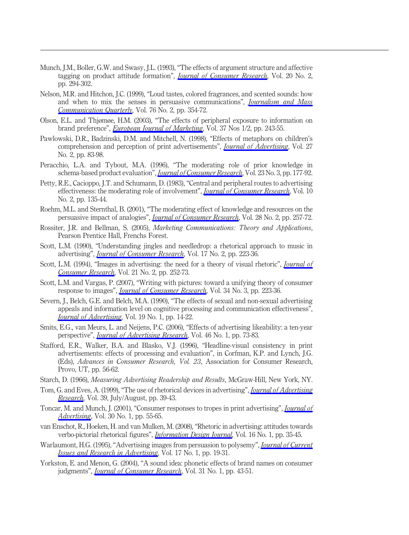- Munch, J.M., Boller, G.W. and Swasy, J.L. (1993), "The effects of argument structure and affective tagging on product attitude formation", *[Journal of Consumer Research](https://www.emeraldinsight.com/action/showLinks?doi=10.1108%2F03090561211259943&crossref=10.1086%2F209350&isi=A1993LY49000009&citationId=p_40)*, Vol. 20 No. 2, pp. 294-302.
- Nelson, M.R. and Hitchon, J.C. (1999), "Loud tastes, colored fragrances, and scented sounds: how and when to mix the senses in persuasive communications", *[Journalism and Mass](https://www.emeraldinsight.com/action/showLinks?doi=10.1108%2F03090561211259943&crossref=10.1177%2F107769909907600212&isi=000082172000011&citationId=p_41)* [Communication Quarterly](https://www.emeraldinsight.com/action/showLinks?doi=10.1108%2F03090561211259943&crossref=10.1177%2F107769909907600212&isi=000082172000011&citationId=p_41), Vol. 76 No. 2, pp. 354-72.
- Olson, E.L. and Thjømøe, H.M. (2003), "The effects of peripheral exposure to information on brand preference", *[European Journal of Marketing](https://www.emeraldinsight.com/action/showLinks?doi=10.1108%2F03090561211259943&system=10.1108%2F03090560310453280&citationId=p_42)*, Vol. 37 Nos 1/2, pp. 243-55.
- Pawlowski, D.R., Badzinski, D.M. and Mitchell, N. (1998), "Effects of metaphors on children's comprehension and perception of print advertisements", *[Journal of Advertising](https://www.emeraldinsight.com/action/showLinks?doi=10.1108%2F03090561211259943&crossref=10.1080%2F00913367.1998.10673554&isi=000076660900006&citationId=p_43)*, Vol. 27 No. 2, pp. 83-98.
- Peracchio, L.A. and Tybout, M.A. (1996), "The moderating role of prior knowledge in schema-based product evaluation", [Journal of Consumer Research](https://www.emeraldinsight.com/action/showLinks?doi=10.1108%2F03090561211259943&crossref=10.1086%2F209476&isi=A1996WK08100002&citationId=p_44), Vol. 23 No. 3, pp. 177-92.
- Petty, R.E., Cacioppo, J.T. and Schumann, D. (1983), "Central and peripheral routes to advertising effectiveness: the moderating role of involvement", *[Journal of Consumer Research](https://www.emeraldinsight.com/action/showLinks?doi=10.1108%2F03090561211259943&crossref=10.1086%2F208954&isi=A1983RK13100001&citationId=p_45)*, Vol. 10 No. 2, pp. 135-44.
- Roehm, M.L. and Sternthal, B. (2001), "The moderating effect of knowledge and resources on the persuasive impact of analogies", *[Journal of Consumer Research](https://www.emeraldinsight.com/action/showLinks?doi=10.1108%2F03090561211259943&crossref=10.1086%2F322901&isi=000170992400007&citationId=p_46)*, Vol. 28 No. 2, pp. 257-72.
- Rossiter, J.R. and Bellman, S. (2005), Marketing Communications: Theory and Applications, Pearson Prentice Hall, Frenchs Forest.
- Scott, L.M. (1990), "Understanding jingles and needledrop: a rhetorical approach to music in advertising", *[Journal of Consumer Research](https://www.emeraldinsight.com/action/showLinks?doi=10.1108%2F03090561211259943&crossref=10.1086%2F208552&isi=A1990EG76300011&citationId=p_48)*, Vol. 17 No. 2, pp. 223-36.
- Scott, L.M. (1994), "Images in advertising: the need for a theory of visual rhetoric", *[Journal of](https://www.emeraldinsight.com/action/showLinks?doi=10.1108%2F03090561211259943&crossref=10.1086%2F209396&isi=A1994PJ41200003&citationId=p_49)* [Consumer Research](https://www.emeraldinsight.com/action/showLinks?doi=10.1108%2F03090561211259943&crossref=10.1086%2F209396&isi=A1994PJ41200003&citationId=p_49), Vol. 21 No. 2, pp. 252-73.
- Scott, L.M. and Vargas, P. (2007), "Writing with pictures: toward a unifying theory of consumer response to images", *[Journal of Consumer Research](https://www.emeraldinsight.com/action/showLinks?doi=10.1108%2F03090561211259943&crossref=10.1086%2F519145&isi=000249319800006&citationId=p_50)*, Vol. 34 No. 3, pp. 223-36.
- Severn, J., Belch, G.E. and Belch, M.A. (1990), "The effects of sexual and non-sexual advertising appeals and information level on cognitive processing and communication effectiveness", [Journal of Advertising](https://www.emeraldinsight.com/action/showLinks?doi=10.1108%2F03090561211259943&crossref=10.1080%2F00913367.1990.10673176&isi=A1990CV89500003&citationId=p_51), Vol. 19 No. 1, pp. 14-22.
- Smits, E.G., van Meurs, L. and Neijens, P.C. (2006), "Effects of advertising likeability: a ten-year perspective", *[Journal of Advertising Research](https://www.emeraldinsight.com/action/showLinks?doi=10.1108%2F03090561211259943&crossref=10.2501%2FS0021849906060089&isi=000238440100008&citationId=p_52)*, Vol. 46 No. 1, pp. 73-83.
- Stafford, E.R., Walker, B.A. and Blasko, V.J. (1996), "Headline-visual consistency in print advertisements: effects of processing and evaluation", in Corfman, K.P. and Lynch, J.G. (Eds), Advances in Consumer Research, Vol. 23, Association for Consumer Research, Provo, UT, pp. 56-62.
- Starch, D. (1966), Measuring Advertising Readership and Results, McGraw-Hill, New York, NY.
- Tom, G. and Eves, A. (1999), "The use of rhetorical devices in advertising", [Journal of Advertising](https://www.emeraldinsight.com/action/showLinks?doi=10.1108%2F03090561211259943&isi=000083123200005&citationId=p_55) [Research](https://www.emeraldinsight.com/action/showLinks?doi=10.1108%2F03090561211259943&isi=000083123200005&citationId=p_55), Vol. 39, July/August, pp. 39-43.
- Toncar, M. and Munch, J. (2001), "Consumer responses to tropes in print advertising", [Journal of](https://www.emeraldinsight.com/action/showLinks?doi=10.1108%2F03090561211259943&crossref=10.1080%2F00913367.2001.10673631&isi=000168968000006&citationId=p_56) [Advertising](https://www.emeraldinsight.com/action/showLinks?doi=10.1108%2F03090561211259943&crossref=10.1080%2F00913367.2001.10673631&isi=000168968000006&citationId=p_56), Vol. 30 No. 1, pp. 55-65.
- van Enschot, R., Hoeken, H. and van Mulken, M. (2008), "Rhetoric in advertising: attitudes towards verbo-pictorial rhetorical figures", *[Information Design Journal](https://www.emeraldinsight.com/action/showLinks?doi=10.1108%2F03090561211259943&crossref=10.1075%2Fidj.16.1.05ens&citationId=p_57)*, Vol. 16 No. 1, pp. 35-45.
- Warlaumont, H.G. (1995), "Advertising images from persuasion to polysemy", *[Journal of Current](https://www.emeraldinsight.com/action/showLinks?doi=10.1108%2F03090561211259943&crossref=10.1080%2F10641734.1995.10505023&citationId=p_58)* [Issues and Research in Advertising](https://www.emeraldinsight.com/action/showLinks?doi=10.1108%2F03090561211259943&crossref=10.1080%2F10641734.1995.10505023&citationId=p_58), Vol. 17 No. 1, pp. 19-31.
- Yorkston, E. and Menon, G. (2004), "A sound idea: phonetic effects of brand names on consumer judgments", *[Journal of Consumer Research](https://www.emeraldinsight.com/action/showLinks?doi=10.1108%2F03090561211259943&crossref=10.1086%2F383422&isi=000222514000004&citationId=p_59)*, Vol. 31 No. 1, pp. 43-51.